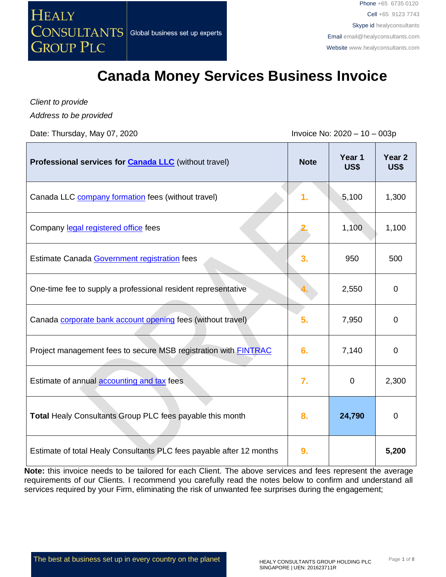

## **Canada Money Services Business Invoice**

*Client to provide Address to be provided*

Date: Thursday, May 07, 2020 **Invoice No: 2020** - 10 – 003p

| Professional services for <b>Canada LLC</b> (without travel)           | <b>Note</b> | Year 1<br>US\$ | Year <sub>2</sub><br>US\$ |
|------------------------------------------------------------------------|-------------|----------------|---------------------------|
| Canada LLC company formation fees (without travel)                     | 1.          | 5,100          | 1,300                     |
| Company legal registered office fees                                   |             | 1,100          | 1,100                     |
| Estimate Canada Government registration fees                           | 3.          | 950            | 500                       |
| One-time fee to supply a professional resident representative          |             | 2,550          | $\mathbf 0$               |
| Canada corporate bank account opening fees (without travel)            | 5.          | 7,950          | $\Omega$                  |
| Project management fees to secure MSB registration with <b>FINTRAC</b> | 6.          | 7,140          | $\overline{0}$            |
| Estimate of annual accounting and tax fees                             | 7.          | $\mathbf 0$    | 2,300                     |
| <b>Total Healy Consultants Group PLC fees payable this month</b>       | 8.          | 24,790         | 0                         |
| Estimate of total Healy Consultants PLC fees payable after 12 months   | 9.          |                | 5,200                     |

**Note:** this invoice needs to be tailored for each Client. The above services and fees represent the average requirements of our Clients. I recommend you carefully read the notes below to confirm and understand all services required by your Firm, eliminating the risk of unwanted fee surprises during the engagement;

The best at business set up in every country on the planet HEALY CONSULTANTS GROUP HOLDING PLC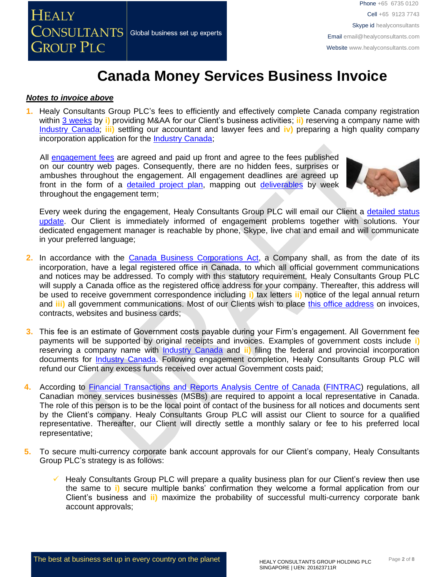

Cell +65 9123 7743 Skype id healyconsultants Email [email@healyconsultants.com](mailto:EMAIL@HEALYCONSULTANTS.COM) Websit[e www.healyconsultants.com](http://www.healyconsultants.com/)

## **Canada Money Services Business Invoice**

#### *Notes to invoice above*

**1.** Healy Consultants Group PLC's fees to efficiently and effectively complete Canada company registration within [3 weeks](http://www.healyconsultants.com/canada-company-registration/fees-timelines/#timelines) by **i)** providing M&AA for our Client's business activities; **ii)** reserving a company name with Industry [Canada;](http://www.ic.gc.ca/eic/site/cd-dgc.nsf/eng/home) **iii)** settling our accountant and lawyer fees and **iv)** preparing a high quality company incorporation application for the [Industry Canada;](http://www.ic.gc.ca/eic/site/cd-dgc.nsf/eng/home)

All [engagement fees](http://www.healyconsultants.com/company-registration-fees/) are agreed and paid up front and agree to the fees published on our country web pages. Consequently, there are no hidden fees, surprises or ambushes throughout the engagement. All engagement deadlines are agreed up front in the form of a [detailed project plan,](http://www.healyconsultants.com/index-important-links/example-project-plan/) mapping out [deliverables](http://www.healyconsultants.com/deliverables-to-our-clients/) by week throughout the engagement term;



Every week during the engagement, Healy Consultants Group PLC will email our Client a detailed status [update.](http://www.healyconsultants.com/index-important-links/weekly-engagement-status-email/) Our Client is immediately informed of engagement problems together with solutions. Your dedicated engagement manager is reachable by phone, Skype, live chat and email and will communicate in your preferred language;

- **2.** In accordance with the [Canada Business Corporations](http://laws-lois.justice.gc.ca/eng/acts/C-1.8/) Act, a Company shall, as from the date of its incorporation, have a legal registered office in Canada, to which all official government communications and notices may be addressed. To comply with this statutory requirement, Healy Consultants Group PLC will supply a Canada office as the registered office address for your company. Thereafter, this address will be used to receive government correspondence including **i)** tax letters **ii)** notice of the legal annual return and **iii)** all government communications. Most of our Clients wish to place [this office address](http://www.healyconsultants.com/corporate-outsourcing-services/company-secretary-and-legal-registered-office/) on invoices, contracts, websites and business cards;
- **3.** This fee is an estimate of Government costs payable during your Firm's engagement. All Government fee payments will be supported by original receipts and invoices. Examples of government costs include **i)** reserving a company name with [Industry Canada](http://www.ic.gc.ca/eic/site/cd-dgc.nsf/eng/home) and **ii)** filing the federal and provincial incorporation documents for [Industry Canada.](http://www.ic.gc.ca/eic/site/cd-dgc.nsf/eng/home) Following engagement completion, Healy Consultants Group PLC will refund our Client any excess funds received over actual Government costs paid;
- **4.** According to [Financial Transactions and Reports Analysis Centre of Canada](https://www.fintrac-canafe.gc.ca/msb-esm/register-inscrire/reg-ins-eng) [\(FINTRAC\)](https://www.fintrac-canafe.gc.ca/msb-esm/register-inscrire/reg-ins-eng) regulations, all Canadian money services businesses (MSBs) are required to appoint a local representative in Canada. The role of this person is to be the local point of contact of the business for all notices and documents sent by the Client's company. Healy Consultants Group PLC will assist our Client to source for a qualified representative. Thereafter, our Client will directly settle a monthly salary or fee to his preferred local representative;
- **5.** To secure multi-currency corporate bank account approvals for our Client's company, Healy Consultants Group PLC's strategy is as follows:
	- Healy Consultants Group PLC will prepare a quality business plan for our Client's review then use the same to **i)** secure multiple banks' confirmation they welcome a formal application from our Client's business and **ii)** maximize the probability of successful multi-currency corporate bank account approvals;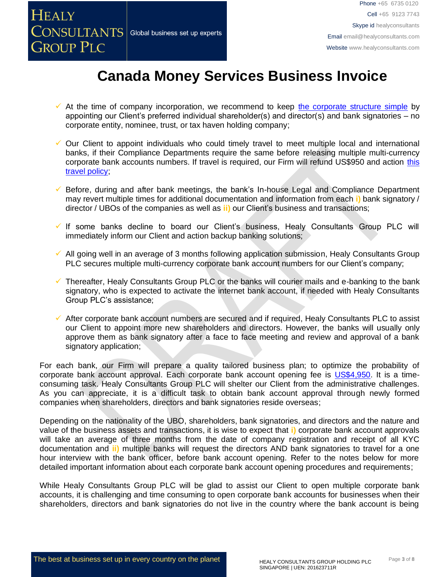

Cell +65 9123 7743 Skype id healyconsultants Email [email@healyconsultants.com](mailto:EMAIL@HEALYCONSULTANTS.COM) Websit[e www.healyconsultants.com](http://www.healyconsultants.com/)

# **Canada Money Services Business Invoice**

- At the time of company incorporation, we recommend to keep [the corporate structure simple](https://www.healyconsultants.com/about-us/complex-client-engagements/simplify-business-setup/) by appointing our Client's preferred individual shareholder(s) and director(s) and bank signatories – no corporate entity, nominee, trust, or tax haven holding company;
- ✓ Our Client to appoint individuals who could timely travel to meet multiple local and international banks, if their Compliance Departments require the same before releasing multiple multi-currency corporate bank accounts numbers. If travel is required, our Firm will refund US\$950 and action [this](https://www.healyconsultants.com/international-banking/corporate-accounts/meet-bank-officer/)  [travel policy;](https://www.healyconsultants.com/international-banking/corporate-accounts/meet-bank-officer/)
- ✓ Before, during and after bank meetings, the bank's In-house Legal and Compliance Department may revert multiple times for additional documentation and information from each **i)** bank signatory / director / UBOs of the companies as well as **ii)** our Client's business and transactions;
- ✓ If some banks decline to board our Client's business, Healy Consultants Group PLC will immediately inform our Client and action backup banking solutions;
- $\checkmark$  All going well in an average of 3 months following application submission, Healy Consultants Group PLC secures multiple multi-currency corporate bank account numbers for our Client's company;
- $\checkmark$  Thereafter, Healy Consultants Group PLC or the banks will courier mails and e-banking to the bank signatory, who is expected to activate the internet bank account, if needed with Healy Consultants Group PLC's assistance;
- ✓ After corporate bank account numbers are secured and if required, Healy Consultants PLC to assist our Client to appoint more new shareholders and directors. However, the banks will usually only approve them as bank signatory after a face to face meeting and review and approval of a bank signatory application;

For each bank, our Firm will prepare a quality tailored business plan; to optimize the probability of corporate bank account approval. Each corporate bank account opening fee is [US\\$4,950.](https://www.healyconsultants.com/corporate-banking-services/guaranteed-corporate-bank-account-approvals/) It is a timeconsuming task. Healy Consultants Group PLC will shelter our Client from the administrative challenges. As you can appreciate, it is a difficult task to obtain bank account approval through newly formed companies when shareholders, directors and bank signatories reside overseas;

Depending on the nationality of the UBO, shareholders, bank signatories, and directors and the nature and value of the business assets and transactions, it is wise to expect that **i)** corporate bank account approvals will take an average of three months from the date of company registration and receipt of all KYC documentation and **ii)** multiple banks will request the directors AND bank signatories to travel for a one hour interview with the bank officer, before bank account opening. Refer to the notes below for more detailed important information about each corporate bank account opening procedures and requirements;

While Healy Consultants Group PLC will be glad to assist our Client to open multiple corporate bank accounts, it is challenging and time consuming to open corporate bank accounts for businesses when their shareholders, directors and bank signatories do not live in the country where the bank account is being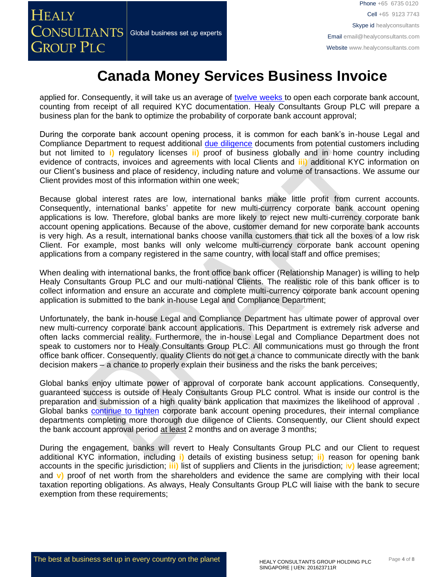Phone +65 6735 0120 Cell +65 9123 7743 Skype id healyconsultants Email [email@healyconsultants.com](mailto:EMAIL@HEALYCONSULTANTS.COM) Websit[e www.healyconsultants.com](http://www.healyconsultants.com/)

## **Canada Money Services Business Invoice**

applied for. Consequently, it will take us an average of [twelve weeks](http://www.healyconsultants.com/international-banking/bitcoin-business-bank-account/) to open each corporate bank account, counting from receipt of all required KYC documentation. Healy Consultants Group PLC will prepare a business plan for the bank to optimize the probability of corporate bank account approval;

During the corporate bank account opening process, it is common for each bank's in-house Legal and Compliance Department to request additional [due diligence](http://www.healyconsultants.com/due-diligence/) documents from potential customers including but not limited to **i)** regulatory licenses **ii)** proof of business globally and in home country including evidence of contracts, invoices and agreements with local Clients and **iii)** additional KYC information on our Client's business and place of residency, including nature and volume of transactions. We assume our Client provides most of this information within one week;

Because global interest rates are low, international banks make little profit from current accounts. Consequently, international banks' appetite for new multi-currency corporate bank account opening applications is low. Therefore, global banks are more likely to reject new multi-currency corporate bank account opening applications. Because of the above, customer demand for new corporate bank accounts is very high. As a result, international banks choose vanilla customers that tick all the boxes of a low risk Client. For example, most banks will only welcome multi-currency corporate bank account opening applications from a company registered in the same country, with local staff and office premises;

When dealing with international banks, the front office bank officer (Relationship Manager) is willing to help Healy Consultants Group PLC and our multi-national Clients. The realistic role of this bank officer is to collect information and ensure an accurate and complete multi-currency corporate bank account opening application is submitted to the bank in-house Legal and Compliance Department;

Unfortunately, the bank in-house Legal and Compliance Department has ultimate power of approval over new multi-currency corporate bank account applications. This Department is extremely risk adverse and often lacks commercial reality. Furthermore, the in-house Legal and Compliance Department does not speak to customers nor to Healy Consultants Group PLC. All communications must go through the front office bank officer. Consequently, quality Clients do not get a chance to communicate directly with the bank decision makers – a chance to properly explain their business and the risks the bank perceives;

Global banks enjoy ultimate power of approval of corporate bank account applications. Consequently, guaranteed success is outside of Healy Consultants Group PLC control. What is inside our control is the preparation and submission of a high quality bank application that maximizes the likelihood of approval . Global banks continue [to tighten](https://www.healyconsultants.com/international-banking/opening-corporate-bank-accounts/) corporate bank account opening procedures, their internal compliance departments completing more thorough due diligence of Clients. Consequently, our Client should expect the bank account approval period at least 2 months and on average 3 months;

During the engagement, banks will revert to Healy Consultants Group PLC and our Client to request additional KYC information, including **i)** details of existing business setup; **ii)** reason for opening bank accounts in the specific jurisdiction; **iii)** list of suppliers and Clients in the jurisdiction; i**v)** lease agreement; and **v)** proof of net worth from the shareholders and evidence the same are complying with their local taxation reporting obligations. As always, Healy Consultants Group PLC will liaise with the bank to secure exemption from these requirements: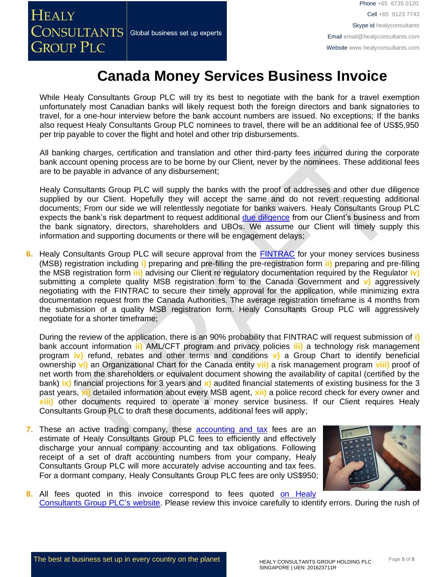**HEALY**  $\overline{\text{CONSULTANTS}}{}|$  Global business set up experts **GROUP PLC** 

Phone +65 6735 0120 → Phone +65 6735 0120 → Phone +65 6735 0120 Cell +65 9123 7743 Skype id healyconsultants Email [email@healyconsultants.com](mailto:EMAIL@HEALYCONSULTANTS.COM) Websit[e www.healyconsultants.com](http://www.healyconsultants.com/)

### **Canada Money Services Business Invoice**

While Healy Consultants Group PLC will try its best to negotiate with the bank for a travel exemption unfortunately most Canadian banks will likely request both the foreign directors and bank signatories to travel, for a one-hour interview before the bank account numbers are issued. No exceptions; If the banks also request Healy Consultants Group PLC nominees to travel, there will be an additional fee of US\$5,950 per trip payable to cover the flight and hotel and other trip disbursements.

All banking charges, certification and translation and other third-party fees incurred during the corporate bank account opening process are to be borne by our Client, never by the nominees. These additional fees are to be payable in advance of any disbursement;

Healy Consultants Group PLC will supply the banks with the proof of addresses and other due diligence supplied by our Client. Hopefully they will accept the same and do not revert requesting additional documents; From our side we will relentlessly negotiate for banks waivers. Healy Consultants Group PLC expects the bank's risk department to request additional [due diligence](http://www.healyconsultants.com/due-diligence/) from our Client's business and from the bank signatory, directors, shareholders and UBOs. We assume our Client will timely supply this information and supporting documents or there will be engagement delays;

**6.** Healy Consultants Group PLC will secure approval from the [FINTRAC](https://www.fintrac-canafe.gc.ca/msb-esm/register-inscrire/reg-ins-eng) for your money services business (MSB) registration including **i)** preparing and pre-filling the pre-registration form **ii)** preparing and pre-filling the MSB registration form **iii)** advising our Client re regulatory documentation required by the Regulator **iv)** submitting a complete quality MSB registration form to the Canada Government and **v)** aggressively negotiating with the FINTRAC to secure their timely approval for the application, while minimizing extra documentation request from the Canada Authorities. The average registration timeframe is 4 months from the submission of a quality MSB registration form. Healy Consultants Group PLC will aggressively negotiate for a shorter timeframe;

During the review of the application, there is an 90% probability that FINTRAC will request submission of **i)** bank account information **ii)** AML/CFT program and privacy policies **iii)** a technology risk management program **iv)** refund, rebates and other terms and conditions **v)** a Group Chart to identify beneficial ownership **vi)** an Organizational Chart for the Canada entity **vii)** a risk management program **viii)** proof of net worth from the shareholders or equivalent document showing the availability of capital (certified by the bank) **ix)** financial projections for 3 years and **x)** audited financial statements of existing business for the 3 past years, **xi)** detailed information about every MSB agent, **xii)** a police record check for every owner and **xiii)** other documents required to operate a money service business. If our Client requires Healy Consultants Group PLC to draft these documents, additional fees will apply;

**7.** These an active trading company, these [accounting and tax](http://www.healyconsultants.com/canada-company-registration/accounting-legal/) fees are an estimate of Healy Consultants Group PLC fees to efficiently and effectively discharge your annual company accounting and tax obligations. Following receipt of a set of draft accounting numbers from your company, Healy Consultants Group PLC will more accurately advise accounting and tax fees. For a dormant company, Healy Consultants Group PLC fees are only US\$950;



**8.** All fees quoted in this invoice correspond to fees quoted [on Healy](http://www.healyconsultants.com/company-registration-fees/)  [Consultants Group PLC's](http://www.healyconsultants.com/company-registration-fees/) website. Please review this invoice carefully to identify errors. During the rush of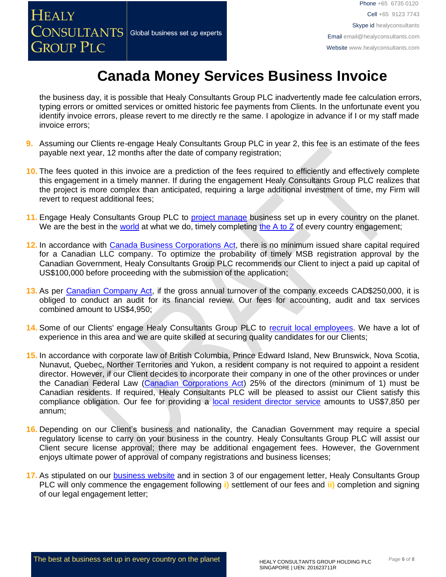Skype id healyconsultants Email [email@healyconsultants.com](mailto:EMAIL@HEALYCONSULTANTS.COM)

Cell +65 9123 7743

Websit[e www.healyconsultants.com](http://www.healyconsultants.com/)

## **Canada Money Services Business Invoice**

Phone +65 6735 0120 → Phone +65 6735 0120 → Phone +65 6735 0120

the business day, it is possible that Healy Consultants Group PLC inadvertently made fee calculation errors, typing errors or omitted services or omitted historic fee payments from Clients. In the unfortunate event you identify invoice errors, please revert to me directly re the same. I apologize in advance if I or my staff made invoice errors;

- **9.** Assuming our Clients re-engage Healy Consultants Group PLC in year 2, this fee is an estimate of the fees payable next year, 12 months after the date of company registration;
- **10.** The fees quoted in this invoice are a prediction of the fees required to efficiently and effectively complete this engagement in a timely manner. If during the engagement Healy Consultants Group PLC realizes that the project is more complex than anticipated, requiring a large additional investment of time, my Firm will revert to request additional fees;
- **11.** Engage Healy Consultants Group PLC to [project manage](http://www.healyconsultants.com/project-manage-engagements/) business set up in every country on the planet. We are the best in the [world](http://www.healyconsultants.com/best-in-the-world/) at what we do, timely completing the  $A$  to  $Z$  of every country engagement;
- **12.** In accordance with [Canada Business Corporations](http://laws-lois.justice.gc.ca/eng/acts/C-1.8/) Act, there is no minimum issued share capital required for a Canadian LLC company. To optimize the probability of timely MSB registration approval by the Canadian Government, Healy Consultants Group PLC recommends our Client to inject a paid up capital of US\$100,000 before proceeding with the submission of the application;
- **13.** As per [Canadian Company Act,](https://www.ic.gc.ca/eic/site/cd-dgc.nsf/eng/cs05010.html) if the gross annual turnover of the company exceeds CAD\$250,000, it is obliged to conduct an audit for its financial review. Our fees for accounting, audit and tax services combined amount to US\$4,950;
- **14.** Some of our Clients' engage Healy Consultants Group PLC to [recruit local employees.](http://www.healyconsultants.com/corporate-outsourcing-services/how-we-help-our-clients-recruit-quality-employees/) We have a lot of experience in this area and we are quite skilled at securing quality candidates for our Clients;
- **15.** In accordance with corporate law of British Columbia, Prince Edward Island, New Brunswick, Nova Scotia, Nunavut, Quebec, Norther Territories and Yukon, a resident company is not required to appoint a resident director. However, if our Client decides to incorporate their company in one of the other provinces or under the Canadian Federal Law [\(Canadian Corporations Act\)](https://www.ic.gc.ca/eic/site/cd-dgc.nsf/eng/cs04848.html) 25% of the directors (minimum of 1) must be Canadian residents. If required, Healy Consultants PLC will be pleased to assist our Client satisfy this compliance obligation. Our fee for providing a [local resident director service](http://www.healyconsultants.com/resident-director-services/) amounts to US\$7,850 per annum;
- **16.** Depending on our Client's business and nationality, the Canadian Government may require a special regulatory license to carry on your business in the country. Healy Consultants Group PLC will assist our Client secure license approval; there may be additional engagement fees. However, the Government enjoys ultimate power of approval of company registrations and business licenses;
- **17.** As stipulated on our [business website](http://www.healyconsultants.com/) and in section 3 of our engagement letter, Healy Consultants Group PLC will only commence the engagement following **i)** settlement of our fees and **ii)** completion and signing of our legal engagement letter;

 $\overline{a}$ 

**HEALY** 

**GROUP PLC** 

 $\overline{\text{CONSULTANTS}}{}|$  Global business set up experts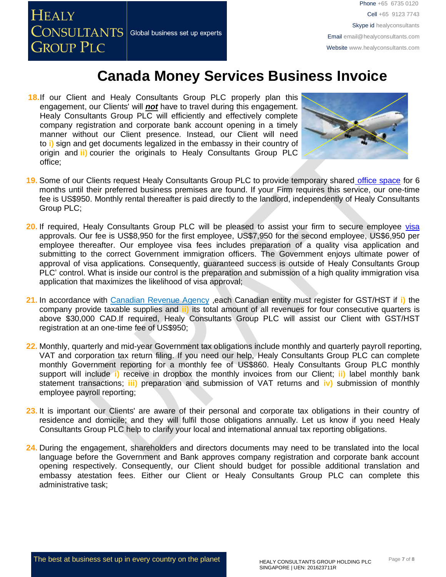**HEALY**  $\overline{\text{CONSULTANTS}}|$  Global business set up experts **GROUP PLC** 

Phone +65 6735 0120 → Phone +65 6735 0120 → Phone +65 6735 0120 Cell +65 9123 7743 Skype id healyconsultants Email [email@healyconsultants.com](mailto:EMAIL@HEALYCONSULTANTS.COM) Websit[e www.healyconsultants.com](http://www.healyconsultants.com/)

#### **Canada Money Services Business Invoice**

**18.**If our Client and Healy Consultants Group PLC properly plan this engagement, our Clients' will *not* have to travel during this engagement. Healy Consultants Group PLC will efficiently and effectively complete company registration and corporate bank account opening in a timely manner without our Client presence. Instead, our Client will need to **i)** sign and get documents legalized in the embassy in their country of origin and **ii)** courier the originals to Healy Consultants Group PLC office;



- **19.** Some of our Clients request Healy Consultants Group PLC to provide temporary shared [office space](http://www.healyconsultants.com/virtual-office/) for 6 months until their preferred business premises are found. If your Firm requires this service, our one-time fee is US\$950. Monthly rental thereafter is paid directly to the landlord, independently of Healy Consultants Group PLC;
- **20.** If required, Healy Consultants Group PLC will be pleased to assist your firm to secure employee [visa](http://www.healyconsultants.com/canada-company-registration/formation-support-services/) approvals. Our fee is US\$8,950 for the first employee, US\$7,950 for the second employee, US\$6,950 per employee thereafter. Our employee visa fees includes preparation of a quality visa application and submitting to the correct Government immigration officers. The Government enjoys ultimate power of approval of visa applications. Consequently, guaranteed success is outside of Healy Consultants Group PLC' control. What is inside our control is the preparation and submission of a high quality immigration visa application that maximizes the likelihood of visa approval;
- **21.** In accordance with [Canadian Revenue Agency](http://www.cra-arc.gc.ca/tx/bsnss/tpcs/gst-tps/rgstrng/menu-eng.html) ,each Canadian entity must register for GST/HST if **i)** the company provide taxable supplies and **ii)** its total amount of all revenues for four consecutive quarters is above \$30,000 CAD.If required, Healy Consultants Group PLC will assist our Client with GST/HST registration at an one-time fee of US\$950;
- **22.** Monthly, quarterly and mid-year Government tax obligations include monthly and quarterly payroll reporting, VAT and corporation tax return filing. If you need our help, Healy Consultants Group PLC can complete monthly Government reporting for a monthly fee of US\$860. Healy Consultants Group PLC monthly support will include **i)** receive in dropbox the monthly invoices from our Client; **ii)** label monthly bank statement transactions; **iii)** preparation and submission of VAT returns and **iv)** submission of monthly employee payroll reporting;
- **23.** It is important our Clients' are aware of their personal and corporate tax obligations in their country of residence and domicile; and they will fulfil those obligations annually. Let us know if you need Healy Consultants Group PLC help to clarify your local and international annual tax reporting obligations.
- **24.** During the engagement, shareholders and directors documents may need to be translated into the local language before the Government and Bank approves company registration and corporate bank account opening respectively. Consequently, our Client should budget for possible additional translation and embassy atestation fees. Either our Client or Healy Consultants Group PLC can complete this administrative task;